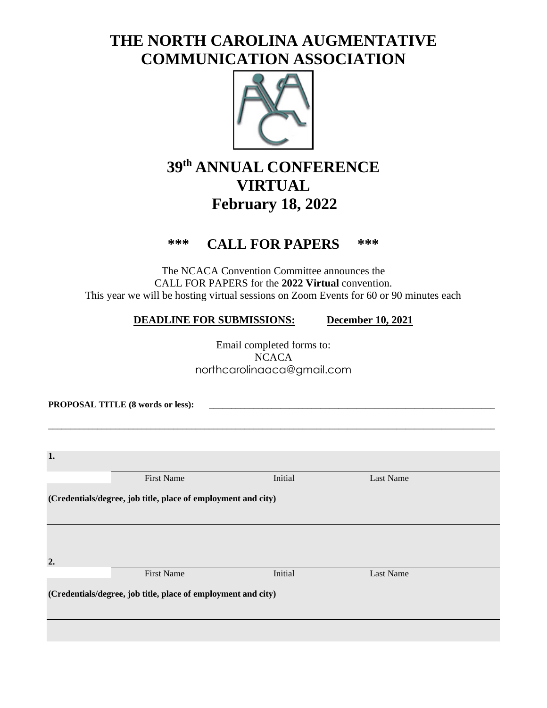## **THE NORTH CAROLINA AUGMENTATIVE COMMUNICATION ASSOCIATION**



## **39 th ANNUAL CONFERENCE VIRTUAL February 18, 2022**

## **\*\*\* CALL FOR PAPERS \*\*\***

The NCACA Convention Committee announces the CALL FOR PAPERS for the **2022 Virtual** convention. This year we will be hosting virtual sessions on Zoom Events for 60 or 90 minutes each

## **DEADLINE FOR SUBMISSIONS: December 10, 2021**

Email completed forms to: **NCACA** northcarolinaaca@gmail.com

\_\_\_\_\_\_\_\_\_\_\_\_\_\_\_\_\_\_\_\_\_\_\_\_\_\_\_\_\_\_\_\_\_\_\_\_\_\_\_\_\_\_\_\_\_\_\_\_\_\_\_\_\_\_\_\_\_\_\_\_\_\_\_\_\_\_\_\_\_\_\_\_\_\_\_\_\_\_\_\_\_\_\_\_\_\_\_\_\_\_\_\_\_\_\_\_\_\_\_\_

PROPOSAL TITLE (8 words or less):

| 1.                                                            |                   |         |           |  |  |  |
|---------------------------------------------------------------|-------------------|---------|-----------|--|--|--|
|                                                               | <b>First Name</b> | Initial | Last Name |  |  |  |
| (Credentials/degree, job title, place of employment and city) |                   |         |           |  |  |  |
|                                                               |                   |         |           |  |  |  |
|                                                               |                   |         |           |  |  |  |
| 2.                                                            |                   |         |           |  |  |  |
|                                                               | <b>First Name</b> | Initial | Last Name |  |  |  |
| (Credentials/degree, job title, place of employment and city) |                   |         |           |  |  |  |
|                                                               |                   |         |           |  |  |  |